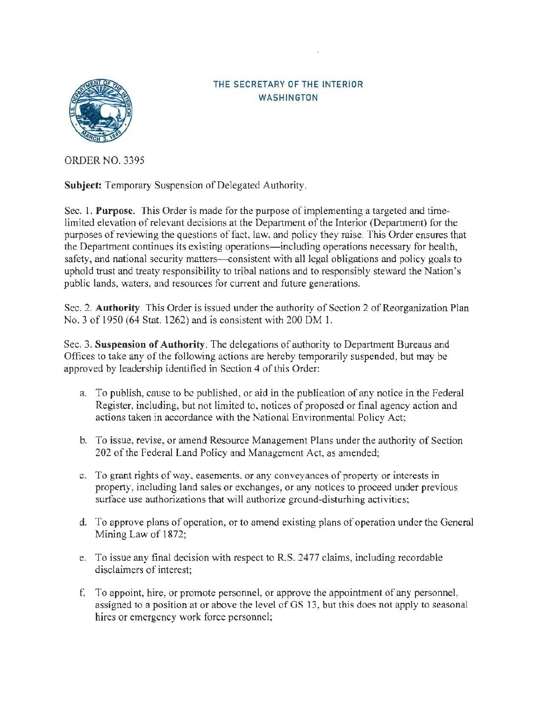

## THE SECRETARY OF THE INTERIOR WASHINGTON

ORDER NO. 3395

Subject: Temporary Suspension of Delegated Authority.

Sec. 1. **Purpose.** This Order is made for the purpose ofimplementing a targeted and timelimited elevation of relevant decisions at the Department of the Interior (Department) for the purposes of reviewing the questions of fact, law, and policy they raise. This Order ensures that the Department continues its existing operations-including operations necessary for health, safety, and national security matters-consistent with all legal obligations and policy goals to uphold trust and treaty responsibility to tribal nations and to responsibly steward the Nation's public lands, waters, and resources for current and future generations.

Sec. 2. **Authority**. This Order is issued under the authority of Section 2 of Reorganization Plan No. 3 of 1950 (64 Stat. 1262) and is consistent with 200 DM 1.

Sec. 3. **Suspension of Authority.** The delegations of authority to Department Bureaus and Offices to take any of the following actions are hereby temporarily suspended, but may be approved by leadership identified in Section 4 of this Order:

- a. To publish, cause to be published, or aid in the publication of any notice in the Federal Register, including, but not limited to, notices of proposed or final agency action and actions taken in accordance with the National Environmental Policy Act:
- b. To issue, revise, or amend Resource Management Plans under the authority of Section 202 of the Federal Land Policy and Management Act, as amended;
- c. To grant rights of way, easements, or any conveyances of property or interests in property, including land sales or exchanges, or any notices to proceed under previous surface use authorizations that will authorize ground-disturhing activities;
- d. To approve plans of operation, or to amend existing plans of operation under the General Mining Law of 1872;
- e. To issue any final decision with respect to R.S. 2477 claims, including recordable disclaimers of interest;
- f. To appoint, hire, or promote personnel. or approve the appointment of any personnel. assigned to a position at or above the level of GS 13, but this does not apply to seasonal hires or emergency work force personnel: